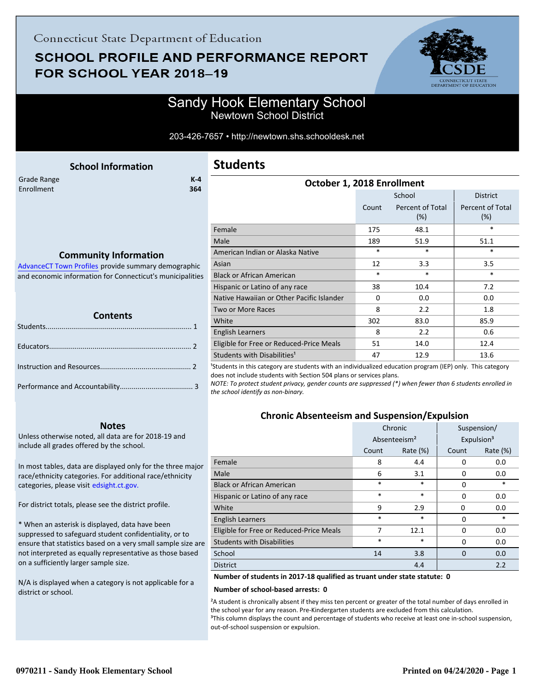## **SCHOOL PROFILE AND PERFORMANCE REPORT** FOR SCHOOL YEAR 2018-19



### Sandy Hook Elementary School Newtown School District

#### 203-426-7657 • http://newtown.shs.schooldesk.net

<span id="page-0-0"></span>

| <b>School Information</b>                                 | <b>Students</b>                           |        |                         |                         |
|-----------------------------------------------------------|-------------------------------------------|--------|-------------------------|-------------------------|
| $K-4$<br>Grade Range<br><b>Enrollment</b><br>364          | October 1, 2018 Enrollment                |        |                         |                         |
|                                                           |                                           |        | <b>District</b>         |                         |
|                                                           |                                           | Count  | Percent of Total<br>(%) | Percent of Total<br>(%) |
|                                                           | Female                                    | 175    | 48.1                    | $\ast$                  |
|                                                           | Male                                      | 189    | 51.9                    | 51.1                    |
| <b>Community Information</b>                              | American Indian or Alaska Native          | $\ast$ | $\ast$                  | $\ast$                  |
| AdvanceCT Town Profiles provide summary demographic       | Asian                                     | 12     | 3.3                     | 3.5                     |
| and economic information for Connecticut's municipalities | <b>Black or African American</b>          | $\ast$ | $\ast$                  | $\ast$                  |
|                                                           | Hispanic or Latino of any race            | 38     | 10.4                    | 7.2                     |
|                                                           | Native Hawaiian or Other Pacific Islander | 0      | 0.0                     | 0.0                     |
|                                                           | Two or More Races                         | 8      | 2.2                     | 1.8                     |
| <b>Contents</b>                                           | White                                     | 302    | 83.0                    | 85.9                    |
| Students                                                  | <b>English Learners</b>                   | 8      | 2.2                     | 0.6                     |
| $\mathcal{P}$<br>Educators <b>Executive</b>               | Eligible for Free or Reduced-Price Meals  | 51     | 14.0                    | 12.4                    |

<sup>1</sup>Students in this category are students with an individualized education program (IEP) only. This category does not include students with Section 504 plans or services plans.

Students with Disabilities<sup>1</sup> 12.9 13.6

*NOTE: To protect student privacy, gender counts are suppressed (\*) when fewer than 6 students enrolled in the school identify as non-binary.*

### **Chronic Absenteeism and Suspension/Expulsion**

|                                          | Chronic |                          | Suspension/ |                        |
|------------------------------------------|---------|--------------------------|-------------|------------------------|
|                                          |         | Absenteeism <sup>2</sup> |             | Expulsion <sup>3</sup> |
|                                          | Count   | Rate $(\%)$              | Count       | Rate (%)               |
| Female                                   | 8       | 4.4                      | 0           | 0.0                    |
| Male                                     | 6       | 3.1                      | 0           | 0.0                    |
| <b>Black or African American</b>         | *       | *                        | 0           | *                      |
| Hispanic or Latino of any race           | $\ast$  | $\ast$                   | 0           | 0.0                    |
| White                                    | 9       | 2.9                      | 0           | 0.0                    |
| <b>English Learners</b>                  | $\ast$  | *                        | 0           | $\ast$                 |
| Eligible for Free or Reduced-Price Meals | 7       | 12.1                     | 0           | 0.0                    |
| <b>Students with Disabilities</b>        | *       | *                        | 0           | 0.0                    |
| School                                   | 14      | 3.8                      | $\Omega$    | 0.0                    |
| <b>District</b>                          |         | 4.4                      |             | 2.2                    |

**Number of students in 2017-18 qualified as truant under state statute: 0**

#### **Number of school-based arrests: 0**

²A student is chronically absent if they miss ten percent or greater of the total number of days enrolled in the school year for any reason. Pre-Kindergarten students are excluded from this calculation. <sup>3</sup>This column displays the count and percentage of students who receive at least one in-school suspension, out-of-school suspension or expulsion.

| <b>Contents</b> |  |  |  |  |
|-----------------|--|--|--|--|
|                 |  |  |  |  |
|                 |  |  |  |  |
|                 |  |  |  |  |
|                 |  |  |  |  |

### **Notes**

Unless otherwise noted, all data are for 2018-19 and include all grades offered by the school.

[In most tables, data are displayed only for the three major](http://edsight.ct.gov/) race/ethnicity categories. For additional race/ethnicity categories, please visit edsight.ct.gov.

For district totals, please see the district profile.

\* When an asterisk is displayed, data have been suppressed to safeguard student confidentiality, or to ensure that statistics based on a very small sample size are not interpreted as equally representative as those based on a sufficiently larger sample size.

N/A is displayed when a category is not applicable for a district or school.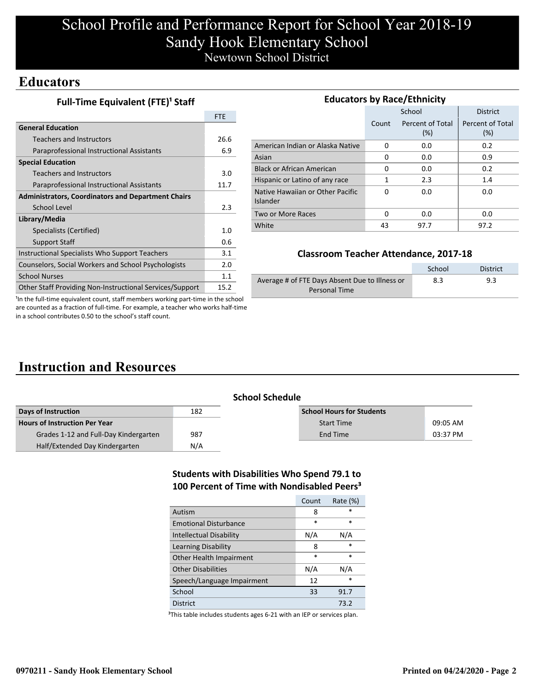# School Profile and Performance Report for School Year 2018-19 Sandy Hook Elementary School Newtown School District

### **Educators**

**Full-Time Equivalent (FTE)<sup>1</sup> Staff** 

|                                                           | <b>FTE</b>  |
|-----------------------------------------------------------|-------------|
| <b>General Education</b>                                  |             |
| Teachers and Instructors                                  | 26.6        |
| Paraprofessional Instructional Assistants                 | 6.9         |
| <b>Special Education</b>                                  |             |
| Teachers and Instructors                                  | 3.0         |
| Paraprofessional Instructional Assistants                 | 11.7        |
| <b>Administrators, Coordinators and Department Chairs</b> |             |
| School Level                                              | 2.3         |
| Library/Media                                             |             |
| Specialists (Certified)                                   | 1. $\Omega$ |
| <b>Support Staff</b>                                      | 0.6         |
| Instructional Specialists Who Support Teachers            | 3.1         |
| Counselors, Social Workers and School Psychologists       | 2.0         |
| <b>School Nurses</b>                                      | 1.1         |
| Other Staff Providing Non-Instructional Services/Support  | 15.2        |

| <b>Educators by Race/Ethnicity</b>           |       |                         |                         |  |  |  |  |  |  |
|----------------------------------------------|-------|-------------------------|-------------------------|--|--|--|--|--|--|
|                                              |       | School                  | <b>District</b>         |  |  |  |  |  |  |
|                                              | Count | Percent of Total<br>(%) | Percent of Total<br>(%) |  |  |  |  |  |  |
| American Indian or Alaska Native             | 0     | 0.0                     | 0.2                     |  |  |  |  |  |  |
| Asian                                        | 0     | 0.0                     | 0.9                     |  |  |  |  |  |  |
| <b>Black or African American</b>             | 0     | 0.0                     | 0.2                     |  |  |  |  |  |  |
| Hispanic or Latino of any race               | 1     | 2.3                     | 1.4                     |  |  |  |  |  |  |
| Native Hawaiian or Other Pacific<br>Islander | 0     | 0.0                     | 0.0                     |  |  |  |  |  |  |
| Two or More Races                            | 0     | 0.0                     | 0.0                     |  |  |  |  |  |  |
| White                                        | 43    | 97.7                    | 97.2                    |  |  |  |  |  |  |

### **Classroom Teacher Attendance, 2017-18**

|                                                | School | <b>District</b> |
|------------------------------------------------|--------|-----------------|
| Average # of FTE Days Absent Due to Illness or | 8.3    | 9.3             |
| Personal Time                                  |        |                 |

<sup>1</sup>In the full-time equivalent count, staff members working part-time in the school are counted as a fraction of full-time. For example, a teacher who works half-time in a school contributes 0.50 to the school's staff count.

# **Instruction and Resources**

| <b>School Schedule</b>                |     |                                  |          |  |  |  |  |
|---------------------------------------|-----|----------------------------------|----------|--|--|--|--|
| Days of Instruction                   | 182 | <b>School Hours for Students</b> |          |  |  |  |  |
| <b>Hours of Instruction Per Year</b>  |     | <b>Start Time</b>                | 09:05 AM |  |  |  |  |
| Grades 1-12 and Full-Day Kindergarten | 987 | End Time                         | 03:37 PM |  |  |  |  |
| Half/Extended Day Kindergarten        | N/A |                                  |          |  |  |  |  |

#### **Students with Disabilities Who Spend 79.1 to 100 Percent of Time with Nondisabled Peers³**

|                                | Count  | Rate (%) |
|--------------------------------|--------|----------|
| Autism                         | 8      | $\star$  |
| <b>Emotional Disturbance</b>   | $\ast$ | $\ast$   |
| <b>Intellectual Disability</b> | N/A    | N/A      |
| Learning Disability            | 8      | $\ast$   |
| Other Health Impairment        | *      | $\ast$   |
| <b>Other Disabilities</b>      | N/A    | N/A      |
| Speech/Language Impairment     | 12     | $\ast$   |
| School                         | 33     | 91.7     |
| <b>District</b>                |        | 73.2     |

<sup>3</sup>This table includes students ages 6-21 with an IEP or services plan.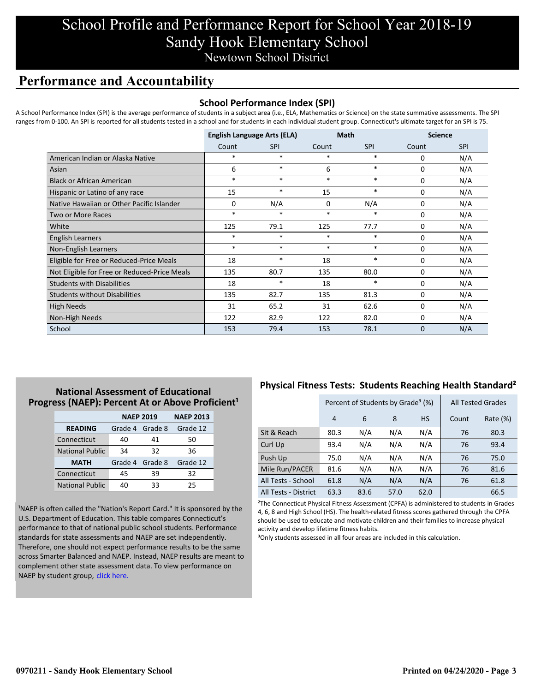## School Profile and Performance Report for School Year 2018-19 Sandy Hook Elementary School Newtown School District

## **Performance and Accountability**

#### **School Performance Index (SPI)**

A School Performance Index (SPI) is the average performance of students in a subject area (i.e., ELA, Mathematics or Science) on the state summative assessments. The SPI ranges from 0-100. An SPI is reported for all students tested in a school and for students in each individual student group. Connecticut's ultimate target for an SPI is 75.

|                                              | <b>English Language Arts (ELA)</b> |            |        | <b>Math</b> |             | <b>Science</b> |  |
|----------------------------------------------|------------------------------------|------------|--------|-------------|-------------|----------------|--|
|                                              | Count                              | <b>SPI</b> | Count  | <b>SPI</b>  | Count       | <b>SPI</b>     |  |
| American Indian or Alaska Native             | $\ast$                             | *          | $\ast$ | $\ast$      | 0           | N/A            |  |
| Asian                                        | 6                                  | $*$        | 6      | $\ast$      | $\mathbf 0$ | N/A            |  |
| <b>Black or African American</b>             | *                                  | $*$        | $\ast$ | $\ast$      | $\Omega$    | N/A            |  |
| Hispanic or Latino of any race               | 15                                 | *          | 15     | $\ast$      | $\Omega$    | N/A            |  |
| Native Hawaiian or Other Pacific Islander    | $\Omega$                           | N/A        | 0      | N/A         | 0           | N/A            |  |
| Two or More Races                            | $\ast$                             | $\ast$     | $\ast$ | $\ast$      | 0           | N/A            |  |
| White                                        | 125                                | 79.1       | 125    | 77.7        | 0           | N/A            |  |
| English Learners                             | *                                  | *          | $\ast$ | $\ast$      | 0           | N/A            |  |
| Non-English Learners                         | $\ast$                             | $\ast$     | $\ast$ | $\ast$      | 0           | N/A            |  |
| Eligible for Free or Reduced-Price Meals     | 18                                 | $\ast$     | 18     | $\ast$      | 0           | N/A            |  |
| Not Eligible for Free or Reduced-Price Meals | 135                                | 80.7       | 135    | 80.0        | 0           | N/A            |  |
| <b>Students with Disabilities</b>            | 18                                 | $\ast$     | 18     | $\ast$      | 0           | N/A            |  |
| <b>Students without Disabilities</b>         | 135                                | 82.7       | 135    | 81.3        | 0           | N/A            |  |
| <b>High Needs</b>                            | 31                                 | 65.2       | 31     | 62.6        | $\Omega$    | N/A            |  |
| Non-High Needs                               | 122                                | 82.9       | 122    | 82.0        | 0           | N/A            |  |
| School                                       | 153                                | 79.4       | 153    | 78.1        | $\Omega$    | N/A            |  |

### **National Assessment of Educational Progress (NAEP): Percent At or Above Proficient<sup>1</sup>**

|                        | <b>NAEP 2019</b>   | <b>NAEP 2013</b> |          |
|------------------------|--------------------|------------------|----------|
| <b>READING</b>         | Grade 4<br>Grade 8 |                  | Grade 12 |
| Connecticut            | 40                 | 41               | 50       |
| <b>National Public</b> | 34                 | 32               | 36       |
| <b>MATH</b>            | Grade 4 Grade 8    |                  | Grade 12 |
| Connecticut            | 45                 | 39               | 32       |
| <b>National Public</b> | 40                 | 33               | 25       |

<sup>1</sup>NAEP is often called the "Nation's Report Card." It is sponsored by the U.S. Department of Education. This table compares Connecticut's performance to that of national public school students. Performance standards for state assessments and NAEP are set independently. Therefore, one should not expect performance results to be the same [across Smarter Balanced and NAEP. Instead, NAEP results are meant to](https://portal.ct.gov/-/media/SDE/Student-Assessment/NAEP/report-card_NAEP-2019.pdf?la=en) complement other state assessment data. To view performance on NAEP by student group, click here.

### **Physical Fitness Tests: Students Reaching Health Standard²**

|                      | Percent of Students by Grade <sup>3</sup> (%) |      |      |           |       | <b>All Tested Grades</b> |
|----------------------|-----------------------------------------------|------|------|-----------|-------|--------------------------|
|                      | 4                                             | 6    | 8    | <b>HS</b> | Count | Rate $(\%)$              |
| Sit & Reach          | 80.3                                          | N/A  | N/A  | N/A       | 76    | 80.3                     |
| Curl Up              | 93.4                                          | N/A  | N/A  | N/A       | 76    | 93.4                     |
| Push Up              | 75.0                                          | N/A  | N/A  | N/A       | 76    | 75.0                     |
| Mile Run/PACER       | 81.6                                          | N/A  | N/A  | N/A       | 76    | 81.6                     |
| All Tests - School   | 61.8                                          | N/A  | N/A  | N/A       | 76    | 61.8                     |
| All Tests - District | 63.3                                          | 83.6 | 57.0 | 62.0      |       | 66.5                     |

²The Connecticut Physical Fitness Assessment (CPFA) is administered to students in Grades 4, 6, 8 and High School (HS). The health-related fitness scores gathered through the CPFA should be used to educate and motivate children and their families to increase physical activity and develop lifetime fitness habits.

<sup>3</sup>Only students assessed in all four areas are included in this calculation.